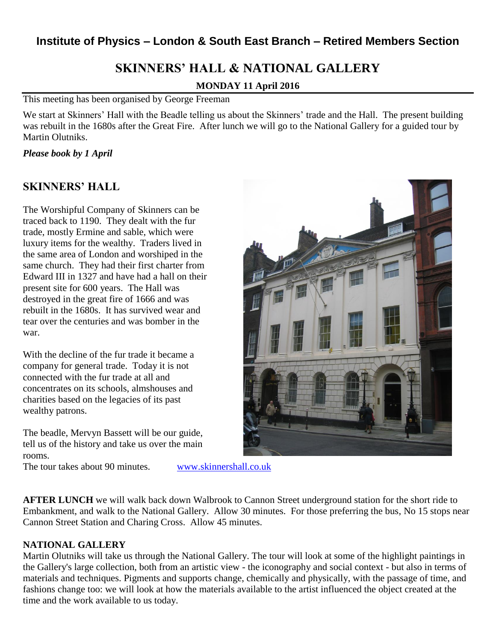## **Institute of Physics – London & South East Branch – Retired Members Section**

# **SKINNERS' HALL & NATIONAL GALLERY**

### **MONDAY 11 April 2016**

This meeting has been organised by George Freeman

We start at Skinners' Hall with the Beadle telling us about the Skinners' trade and the Hall. The present building was rebuilt in the 1680s after the Great Fire. After lunch we will go to the National Gallery for a guided tour by Martin Olutniks.

### *Please book by 1 April*

### **SKINNERS' HALL**

The Worshipful Company of Skinners can be traced back to 1190. They dealt with the fur trade, mostly Ermine and sable, which were luxury items for the wealthy. Traders lived in the same area of London and worshiped in the same church. They had their first charter from Edward III in 1327 and have had a hall on their present site for 600 years. The Hall was destroyed in the great fire of 1666 and was rebuilt in the 1680s. It has survived wear and tear over the centuries and was bomber in the war.

With the decline of the fur trade it became a company for general trade. Today it is not connected with the fur trade at all and concentrates on its schools, almshouses and charities based on the legacies of its past wealthy patrons.

The beadle, Mervyn Bassett will be our guide, tell us of the history and take us over the main rooms.

The tour takes about 90 minutes. [www.skinnershall.co.uk](http://www.skinnershall.co.uk/)

**AFTER LUNCH** we will walk back down Walbrook to Cannon Street underground station for the short ride to Embankment, and walk to the National Gallery. Allow 30 minutes. For those preferring the bus, No 15 stops near Cannon Street Station and Charing Cross. Allow 45 minutes.

### **NATIONAL GALLERY**

Martin Olutniks will take us through the National Gallery. The tour will look at some of the highlight paintings in the Gallery's large collection, both from an artistic view - the iconography and social context - but also in terms of materials and techniques. Pigments and supports change, chemically and physically, with the passage of time, and fashions change too: we will look at how the materials available to the artist influenced the object created at the time and the work available to us today.

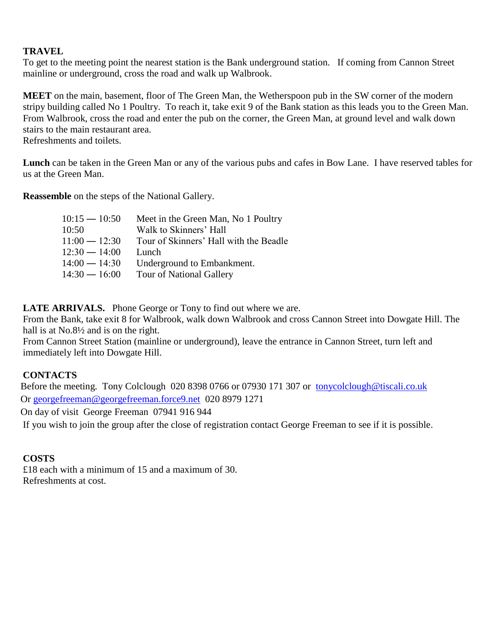### **TRAVEL**

To get to the meeting point the nearest station is the Bank underground station. If coming from Cannon Street mainline or underground, cross the road and walk up Walbrook.

**MEET** on the main, basement, floor of The Green Man, the Wetherspoon pub in the SW corner of the modern stripy building called No 1 Poultry. To reach it, take exit 9 of the Bank station as this leads you to the Green Man. From Walbrook, cross the road and enter the pub on the corner, the Green Man, at ground level and walk down stairs to the main restaurant area.

Refreshments and toilets.

**Lunch** can be taken in the Green Man or any of the various pubs and cafes in Bow Lane. I have reserved tables for us at the Green Man.

**Reassemble** on the steps of the National Gallery.

| Tour of Skinners' Hall with the Beadle |
|----------------------------------------|
|                                        |
|                                        |
|                                        |
|                                        |

LATE ARRIVALS. Phone George or Tony to find out where we are.

From the Bank, take exit 8 for Walbrook, walk down Walbrook and cross Cannon Street into Dowgate Hill. The hall is at No.8<sup>1</sup>/<sub>2</sub> and is on the right.

From Cannon Street Station (mainline or underground), leave the entrance in Cannon Street, turn left and immediately left into Dowgate Hill.

### **CONTACTS**

Before the meeting. Tony Colclough 020 8398 0766 or 07930 171 307 or [tonycolclough@tiscali.co.uk](mailto:tonycolclough@tiscali.co.uk) Or [georgefreeman@georgefreeman.force9.net](mailto:georgefreeman@georgefreeman.force9.net) 020 8979 1271

On day of visit George Freeman 07941 916 944

If you wish to join the group after the close of registration contact George Freeman to see if it is possible.

### **COSTS**

£18 each with a minimum of 15 and a maximum of 30. Refreshments at cost.